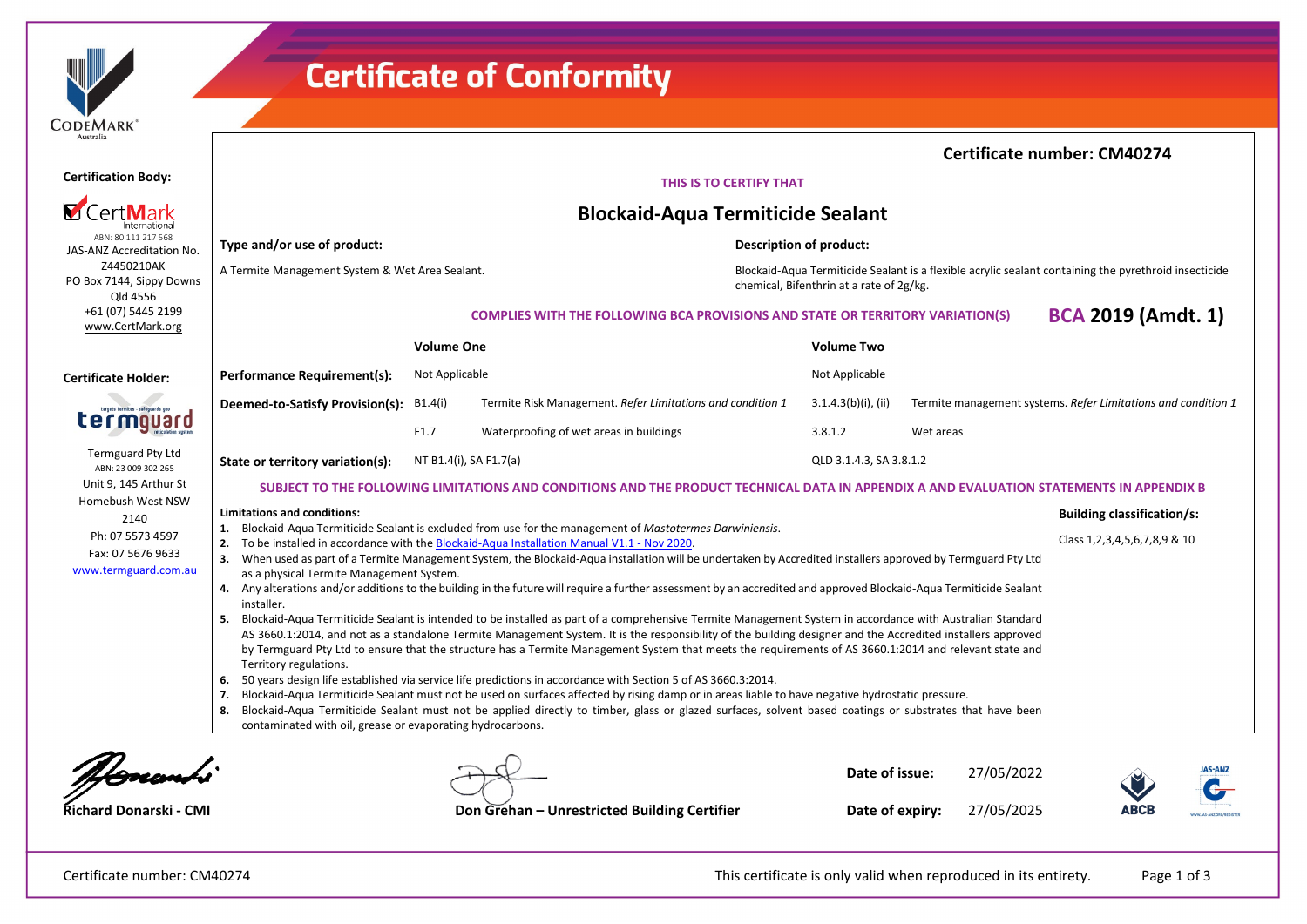# **Certificate of Conformity**

| ----<br>Australia                                                                                                                                                                                                                                                                                                                                                                                                                                                                  | <b>Certificate number: CM40274</b>                                                                                                                                                                                                                                                                                |                        |                                                                                                                                                                     |                        |                         |            |                                                               |                                      |  |  |
|------------------------------------------------------------------------------------------------------------------------------------------------------------------------------------------------------------------------------------------------------------------------------------------------------------------------------------------------------------------------------------------------------------------------------------------------------------------------------------|-------------------------------------------------------------------------------------------------------------------------------------------------------------------------------------------------------------------------------------------------------------------------------------------------------------------|------------------------|---------------------------------------------------------------------------------------------------------------------------------------------------------------------|------------------------|-------------------------|------------|---------------------------------------------------------------|--------------------------------------|--|--|
| <b>Certification Body:</b>                                                                                                                                                                                                                                                                                                                                                                                                                                                         | THIS IS TO CERTIFY THAT                                                                                                                                                                                                                                                                                           |                        |                                                                                                                                                                     |                        |                         |            |                                                               |                                      |  |  |
|                                                                                                                                                                                                                                                                                                                                                                                                                                                                                    | <b>Blockaid-Aqua Termiticide Sealant</b>                                                                                                                                                                                                                                                                          |                        |                                                                                                                                                                     |                        |                         |            |                                                               |                                      |  |  |
| ABN: 80 111 217 568<br>JAS-ANZ Accreditation No.                                                                                                                                                                                                                                                                                                                                                                                                                                   | Type and/or use of product:<br>Description of product:                                                                                                                                                                                                                                                            |                        |                                                                                                                                                                     |                        |                         |            |                                                               |                                      |  |  |
| Z4450210AK<br>PO Box 7144, Sippy Downs<br>Qld 4556                                                                                                                                                                                                                                                                                                                                                                                                                                 | A Termite Management System & Wet Area Sealant.                                                                                                                                                                                                                                                                   |                        | Blockaid-Aqua Termiticide Sealant is a flexible acrylic sealant containing the pyrethroid insecticide<br>chemical, Bifenthrin at a rate of 2g/kg.                   |                        |                         |            |                                                               |                                      |  |  |
| +61 (07) 5445 2199<br>www.CertMark.org                                                                                                                                                                                                                                                                                                                                                                                                                                             |                                                                                                                                                                                                                                                                                                                   |                        | <b>COMPLIES WITH THE FOLLOWING BCA PROVISIONS AND STATE OR TERRITORY VARIATION(S)</b>                                                                               |                        |                         |            | <b>BCA 2019 (Amdt. 1)</b>                                     |                                      |  |  |
|                                                                                                                                                                                                                                                                                                                                                                                                                                                                                    |                                                                                                                                                                                                                                                                                                                   | <b>Volume One</b>      |                                                                                                                                                                     | <b>Volume Two</b>      |                         |            |                                                               |                                      |  |  |
| <b>Certificate Holder:</b>                                                                                                                                                                                                                                                                                                                                                                                                                                                         | <b>Performance Requirement(s):</b>                                                                                                                                                                                                                                                                                | Not Applicable         |                                                                                                                                                                     | Not Applicable         |                         |            |                                                               |                                      |  |  |
| argets termites - safeguards you                                                                                                                                                                                                                                                                                                                                                                                                                                                   | Deemed-to-Satisfy Provision(s):                                                                                                                                                                                                                                                                                   | B1.4(i)                | Termite Risk Management. Refer Limitations and condition 1                                                                                                          | $3.1.4.3(b)(i)$ , (ii) |                         |            | Termite management systems. Refer Limitations and condition 1 |                                      |  |  |
| lauaro                                                                                                                                                                                                                                                                                                                                                                                                                                                                             |                                                                                                                                                                                                                                                                                                                   | F1.7                   | Waterproofing of wet areas in buildings                                                                                                                             | 3.8.1.2                | Wet areas               |            |                                                               |                                      |  |  |
| <b>Termguard Pty Ltd</b><br>ABN: 23 009 302 265                                                                                                                                                                                                                                                                                                                                                                                                                                    | State or territory variation(s):                                                                                                                                                                                                                                                                                  | NT B1.4(i), SA F1.7(a) |                                                                                                                                                                     |                        | QLD 3.1.4.3, SA 3.8.1.2 |            |                                                               |                                      |  |  |
| Unit 9, 145 Arthur St                                                                                                                                                                                                                                                                                                                                                                                                                                                              | SUBJECT TO THE FOLLOWING LIMITATIONS AND CONDITIONS AND THE PRODUCT TECHNICAL DATA IN APPENDIX A AND EVALUATION STATEMENTS IN APPENDIX B                                                                                                                                                                          |                        |                                                                                                                                                                     |                        |                         |            |                                                               |                                      |  |  |
| Homebush West NSW<br>2140                                                                                                                                                                                                                                                                                                                                                                                                                                                          | Limitations and conditions:                                                                                                                                                                                                                                                                                       |                        |                                                                                                                                                                     |                        |                         |            | <b>Building classification/s:</b>                             |                                      |  |  |
| Ph: 07 5573 4597                                                                                                                                                                                                                                                                                                                                                                                                                                                                   | 1. Blockaid-Aqua Termiticide Sealant is excluded from use for the management of Mastotermes Darwiniensis.<br>To be installed in accordance with the Blockaid-Aqua Installation Manual V1.1 - Nov 2020.<br>2.                                                                                                      |                        |                                                                                                                                                                     |                        |                         |            |                                                               | Class 1, 2, 3, 4, 5, 6, 7, 8, 9 & 10 |  |  |
| Fax: 07 5676 9633<br>www.termguard.com.au                                                                                                                                                                                                                                                                                                                                                                                                                                          | 3. When used as part of a Termite Management System, the Blockaid-Aqua installation will be undertaken by Accredited installers approved by Termguard Pty Ltd                                                                                                                                                     |                        |                                                                                                                                                                     |                        |                         |            |                                                               |                                      |  |  |
|                                                                                                                                                                                                                                                                                                                                                                                                                                                                                    | as a physical Termite Management System.                                                                                                                                                                                                                                                                          |                        | 4. Any alterations and/or additions to the building in the future will require a further assessment by an accredited and approved Blockaid-Aqua Termiticide Sealant |                        |                         |            |                                                               |                                      |  |  |
|                                                                                                                                                                                                                                                                                                                                                                                                                                                                                    | installer.<br>5.                                                                                                                                                                                                                                                                                                  |                        |                                                                                                                                                                     |                        |                         |            |                                                               |                                      |  |  |
| Blockaid-Aqua Termiticide Sealant is intended to be installed as part of a comprehensive Termite Management System in accordance with Australian Standard<br>AS 3660.1:2014, and not as a standalone Termite Management System. It is the responsibility of the building designer and the Accredited installers approved<br>by Termguard Pty Ltd to ensure that the structure has a Termite Management System that meets the requirements of AS 3660.1:2014 and relevant state and |                                                                                                                                                                                                                                                                                                                   |                        |                                                                                                                                                                     |                        |                         |            |                                                               |                                      |  |  |
| Territory regulations.<br>50 years design life established via service life predictions in accordance with Section 5 of AS 3660.3:2014.<br>6.                                                                                                                                                                                                                                                                                                                                      |                                                                                                                                                                                                                                                                                                                   |                        |                                                                                                                                                                     |                        |                         |            |                                                               |                                      |  |  |
|                                                                                                                                                                                                                                                                                                                                                                                                                                                                                    | Blockaid-Aqua Termiticide Sealant must not be used on surfaces affected by rising damp or in areas liable to have negative hydrostatic pressure.<br>7.<br>Blockaid-Aqua Termiticide Sealant must not be applied directly to timber, glass or glazed surfaces, solvent based coatings or substrates that have been |                        |                                                                                                                                                                     |                        |                         |            |                                                               |                                      |  |  |
|                                                                                                                                                                                                                                                                                                                                                                                                                                                                                    | 8.<br>contaminated with oil, grease or evaporating hydrocarbons.                                                                                                                                                                                                                                                  |                        |                                                                                                                                                                     |                        |                         |            |                                                               |                                      |  |  |
|                                                                                                                                                                                                                                                                                                                                                                                                                                                                                    |                                                                                                                                                                                                                                                                                                                   |                        |                                                                                                                                                                     |                        |                         |            |                                                               |                                      |  |  |
|                                                                                                                                                                                                                                                                                                                                                                                                                                                                                    |                                                                                                                                                                                                                                                                                                                   |                        |                                                                                                                                                                     | Date of issue:         |                         | 27/05/2022 |                                                               |                                      |  |  |
| Richard Donarski - CMI                                                                                                                                                                                                                                                                                                                                                                                                                                                             |                                                                                                                                                                                                                                                                                                                   |                        | Don Grehan - Unrestricted Building Certifier                                                                                                                        | Date of expiry:        |                         | 27/05/2025 | ABCE                                                          |                                      |  |  |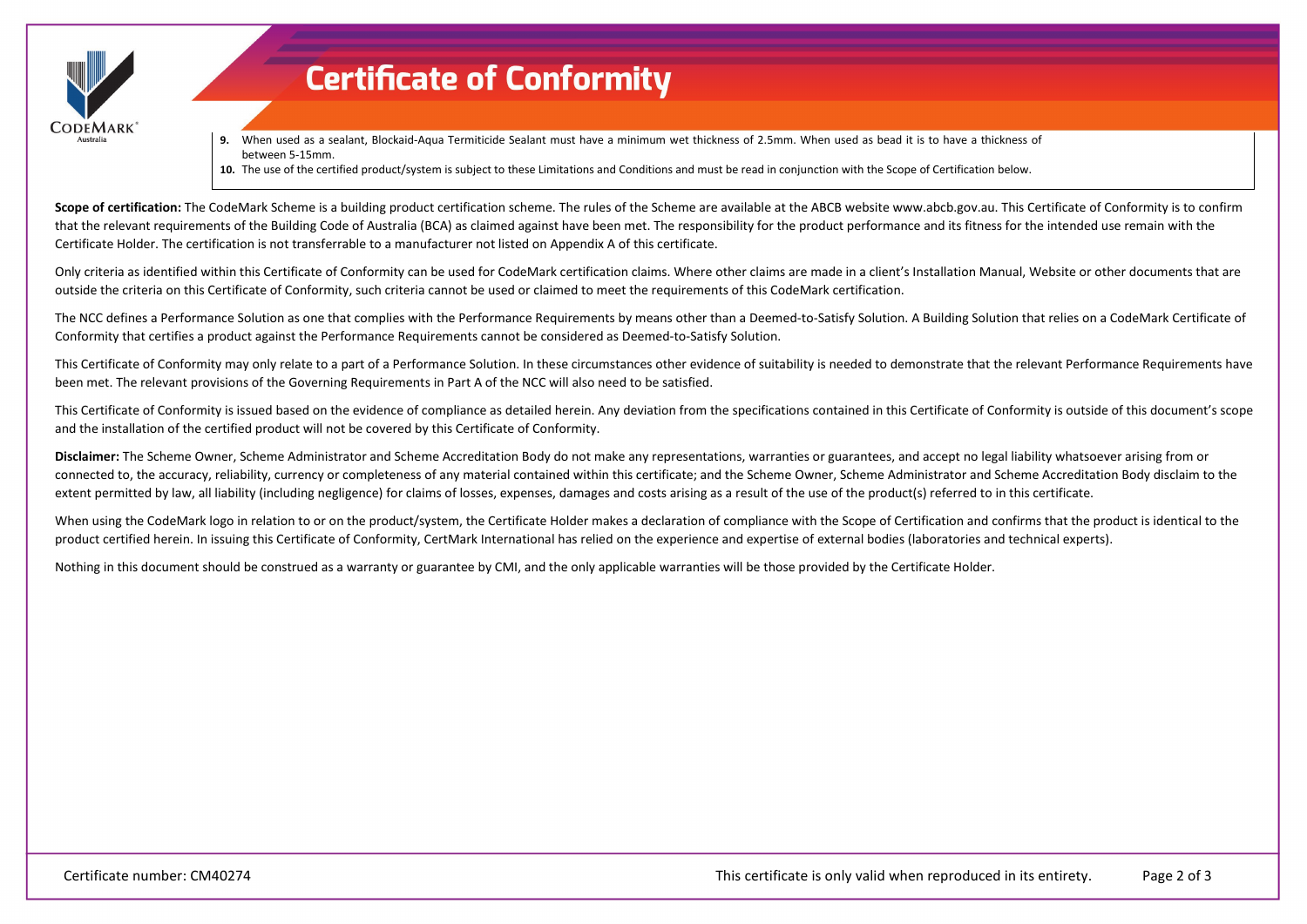

# **Certificate of Conformity**

**9.** When used as a sealant, Blockaid-Aqua Termiticide Sealant must have a minimum wet thickness of 2.5mm. When used as bead it is to have a thickness of between 5-15mm.

**10.** The use of the certified product/system is subject to these Limitations and Conditions and must be read in conjunction with the Scope of Certification below.

Scope of certification: The CodeMark Scheme is a building product certification scheme. The rules of the Scheme are available at the ABCB website www.abcb.gov.au. This Certificate of Conformity is to confirm that the relevant requirements of the Building Code of Australia (BCA) as claimed against have been met. The responsibility for the product performance and its fitness for the intended use remain with the Certificate Holder. The certification is not transferrable to a manufacturer not listed on Appendix A of this certificate.

Only criteria as identified within this Certificate of Conformity can be used for CodeMark certification claims. Where other claims are made in a client's Installation Manual, Website or other documents that are outside the criteria on this Certificate of Conformity, such criteria cannot be used or claimed to meet the requirements of this CodeMark certification.

The NCC defines a Performance Solution as one that complies with the Performance Requirements by means other than a Deemed-to-Satisfy Solution. A Building Solution that relies on a CodeMark Certificate of Conformity that certifies a product against the Performance Requirements cannot be considered as Deemed-to-Satisfy Solution.

This Certificate of Conformity may only relate to a part of a Performance Solution. In these circumstances other evidence of suitability is needed to demonstrate that the relevant Performance Requirements have been met. The relevant provisions of the Governing Requirements in Part A of the NCC will also need to be satisfied.

This Certificate of Conformity is issued based on the evidence of compliance as detailed herein. Any deviation from the specifications contained in this Certificate of Conformity is outside of this document's scope and the installation of the certified product will not be covered by this Certificate of Conformity.

**Disclaimer:** The Scheme Owner, Scheme Administrator and Scheme Accreditation Body do not make any representations, warranties or guarantees, and accept no legal liability whatsoever arising from or connected to, the accuracy, reliability, currency or completeness of any material contained within this certificate; and the Scheme Owner, Scheme Administrator and Scheme Accreditation Body disclaim to the extent permitted by law, all liability (including negligence) for claims of losses, expenses, damages and costs arising as a result of the use of the product(s) referred to in this certificate.

When using the CodeMark logo in relation to or on the product/system, the Certificate Holder makes a declaration of compliance with the Scope of Certification and confirms that the product is identical to the product certified herein. In issuing this Certificate of Conformity, CertMark International has relied on the experience and expertise of external bodies (laboratories and technical experts).

Nothing in this document should be construed as a warranty or guarantee by CMI, and the only applicable warranties will be those provided by the Certificate Holder.